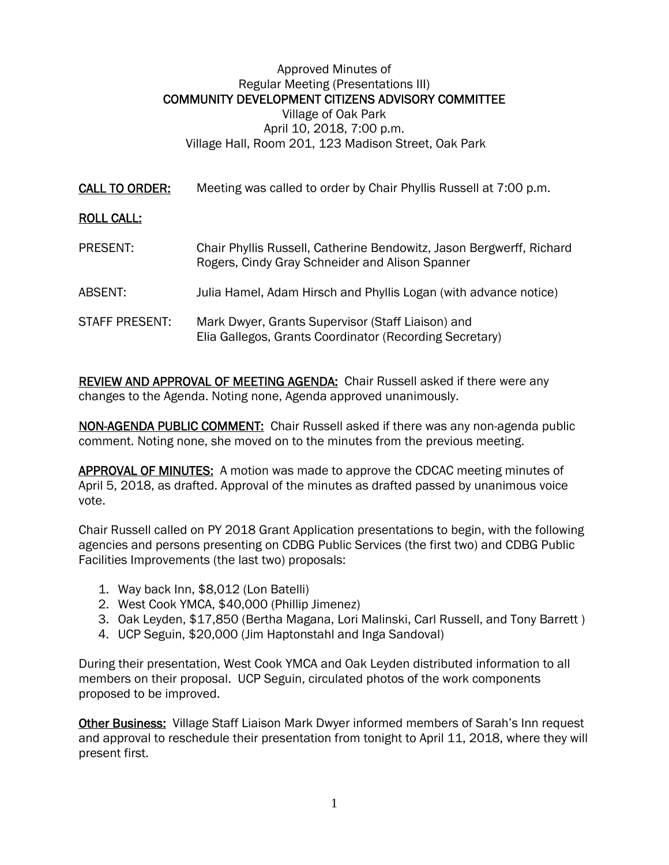## Approved Minutes of Regular Meeting (Presentations III) COMMUNITY DEVELOPMENT CITIZENS ADVISORY COMMITTEE Village of Oak Park April 10, 2018, 7:00 p.m. Village Hall, Room 201, 123 Madison Street, Oak Park

CALL TO ORDER: Meeting was called to order by Chair Phyllis Russell at 7:00 p.m.

## ROLL CALL:

| PRESENT:              | Chair Phyllis Russell, Catherine Bendowitz, Jason Bergwerff, Richard<br>Rogers, Cindy Gray Schneider and Alison Spanner |
|-----------------------|-------------------------------------------------------------------------------------------------------------------------|
| ABSENT:               | Julia Hamel, Adam Hirsch and Phyllis Logan (with advance notice)                                                        |
| <b>STAFF PRESENT:</b> | Mark Dwyer, Grants Supervisor (Staff Liaison) and<br>Elia Gallegos, Grants Coordinator (Recording Secretary)            |

REVIEW AND APPROVAL OF MEETING AGENDA: Chair Russell asked if there were any changes to the Agenda. Noting none, Agenda approved unanimously.

NON-AGENDA PUBLIC COMMENT: Chair Russell asked if there was any non-agenda public comment. Noting none, she moved on to the minutes from the previous meeting.

APPROVAL OF MINUTES: A motion was made to approve the CDCAC meeting minutes of April 5, 2018, as drafted. Approval of the minutes as drafted passed by unanimous voice vote.

Chair Russell called on PY 2018 Grant Application presentations to begin, with the following agencies and persons presenting on CDBG Public Services (the first two) and CDBG Public Facilities Improvements (the last two) proposals:

- 1. Way back Inn, \$8,012 (Lon Batelli)
- 2. West Cook YMCA, \$40,000 (Phillip Jimenez)
- 3. Oak Leyden, \$17,850 (Bertha Magana, Lori Malinski, Carl Russell, and Tony Barrett )
- 4. UCP Seguin, \$20,000 (Jim Haptonstahl and Inga Sandoval)

During their presentation, West Cook YMCA and Oak Leyden distributed information to all members on their proposal. UCP Seguin, circulated photos of the work components proposed to be improved.

Other Business: Village Staff Liaison Mark Dwyer informed members of Sarah's Inn request and approval to reschedule their presentation from tonight to April 11, 2018, where they will present first.